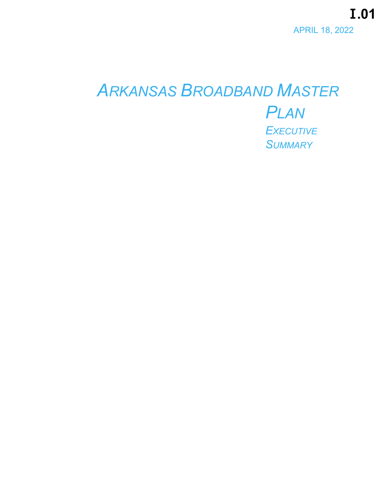I.01 **APRIL 18, 2022** 

# **ARKANSAS BROADBAND MASTER PLAN EXECUTIVE SUMMARY**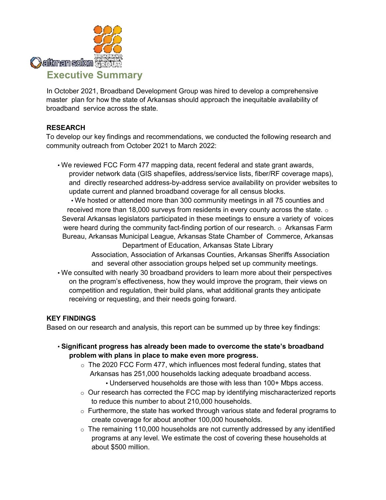

In October 2021, Broadband Development Group was hired to develop a comprehensive master plan for how the state of Arkansas should approach the inequitable availability of broadband service across the state.

#### **RESEARCH**

To develop our key findings and recommendations, we conducted the following research and community outreach from October 2021 to March 2022:

• We reviewed FCC Form 477 mapping data, recent federal and state grant awards, provider network data (GIS shapefiles, address/service lists, fiber/RF coverage maps), and directly researched address-by-address service availability on provider websites to update current and planned broadband coverage for all census blocks.

• We hosted or attended more than 300 community meetings in all 75 counties and received more than 18,000 surveys from residents in every county across the state.  $\circ$ Several Arkansas legislators participated in these meetings to ensure a variety of voices were heard during the community fact-finding portion of our research.  $\circ$  Arkansas Farm Bureau, Arkansas Municipal League, Arkansas State Chamber of Commerce, Arkansas Department of Education, Arkansas State Library

> Association, Association of Arkansas Counties, Arkansas Sheriffs Association and several other association groups helped set up community meetings.

• We consulted with nearly 30 broadband providers to learn more about their perspectives on the program's effectiveness, how they would improve the program, their views on competition and regulation, their build plans, what additional grants they anticipate receiving or requesting, and their needs going forward.

#### **KEY FINDINGS**

Based on our research and analysis, this report can be summed up by three key findings:

- **Significant progress has already been made to overcome the state's broadband problem with plans in place to make even more progress.** 
	- $\circ$  The 2020 FCC Form 477, which influences most federal funding, states that Arkansas has 251,000 households lacking adequate broadband access.
		- Underserved households are those with less than 100+ Mbps access.
	- o Our research has corrected the FCC map by identifying mischaracterized reports to reduce this number to about 210,000 households.
	- $\circ$  Furthermore, the state has worked through various state and federal programs to create coverage for about another 100,000 households.
	- $\circ$  The remaining 110,000 households are not currently addressed by any identified programs at any level. We estimate the cost of covering these households at about \$500 million.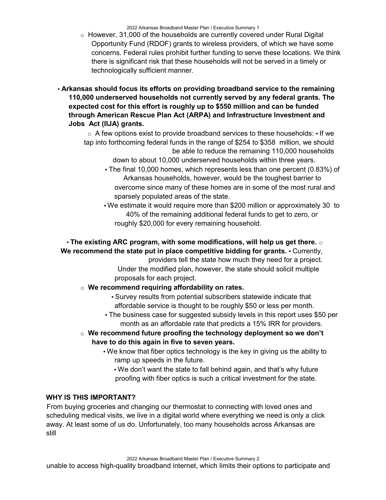2022 Arkansas Broadband Master Plan / Executive Summary 1

- $\circ$  However, 31,000 of the households are currently covered under Rural Digital Opportunity Fund (RDOF) grants to wireless providers, of which we have some concerns. Federal rules prohibit further funding to serve these locations. We think there is significant risk that these households will not be served in a timely or technologically sufficient manner.
- **Arkansas should focus its efforts on providing broadband service to the remaining 110,000 underserved households not currently served by any federal grants. The expected cost for this effort is roughly up to \$550 million and can be funded through American Rescue Plan Act (ARPA) and Infrastructure Investment and Jobs Act (IIJA) grants.**

 $\circ$  A few options exist to provide broadband services to these households:  $\cdot$  If we tap into forthcoming federal funds in the range of \$254 to \$358 million, we should be able to reduce the remaining 110,000 households

down to about 10,000 underserved households within three years.

- The final 10,000 homes, which represents less than one percent (0.83%) of Arkansas households, however, would be the toughest barrier to overcome since many of these homes are in some of the most rural and sparsely populated areas of the state.
- We estimate it would require more than \$200 million or approximately 30 to 40% of the remaining additional federal funds to get to zero, or roughly \$20,000 for every remaining household.

### • **The existing ARC program, with some modifications, will help us get there.** o **We recommend the state put in place competitive bidding for grants.** ▪ Currently,

providers tell the state how much they need for a project. Under the modified plan, however, the state should solicit multiple proposals for each project.

#### o **We recommend requiring affordability on rates.**

▪ Survey results from potential subscribers statewide indicate that affordable service is thought to be roughly \$50 or less per month.

- . The business case for suggested subsidy levels in this report uses \$50 per month as an affordable rate that predicts a 15% IRR for providers.
- o **We recommend future proofing the technology deployment so we don't have to do this again in five to seven years.** 
	- We know that fiber optics technology is the key in giving us the ability to ramp up speeds in the future.

. We don't want the state to fall behind again, and that's why future proofing with fiber optics is such a critical investment for the state.

#### **WHY IS THIS IMPORTANT?**

From buying groceries and changing our thermostat to connecting with loved ones and scheduling medical visits, we live in a digital world where everything we need is only a click away. At least some of us do. Unfortunately, too many households across Arkansas are still